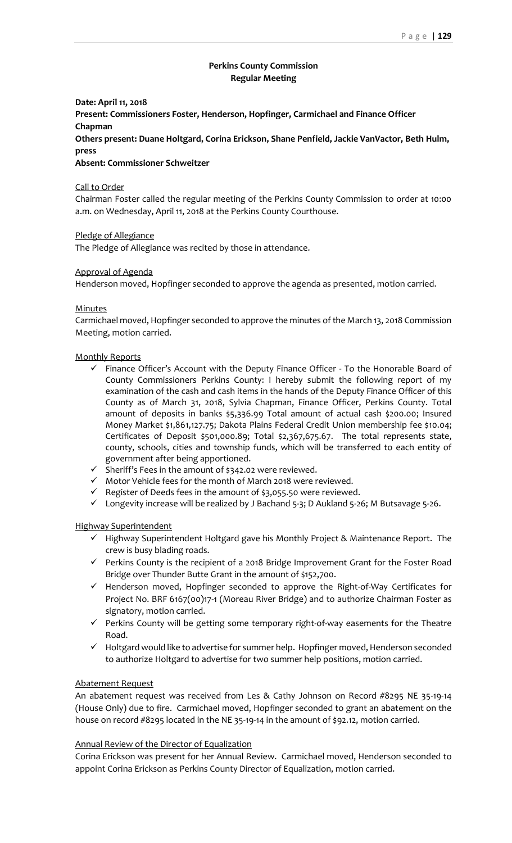# **Perkins County Commission Regular Meeting**

### **Date: April 11, 2018**

**Present: Commissioners Foster, Henderson, Hopfinger, Carmichael and Finance Officer Chapman**

**Others present: Duane Holtgard, Corina Erickson, Shane Penfield, Jackie VanVactor, Beth Hulm, press**

#### **Absent: Commissioner Schweitzer**

#### Call to Order

Chairman Foster called the regular meeting of the Perkins County Commission to order at 10:00 a.m. on Wednesday, April 11, 2018 at the Perkins County Courthouse.

### Pledge of Allegiance

The Pledge of Allegiance was recited by those in attendance.

### Approval of Agenda

Henderson moved, Hopfinger seconded to approve the agenda as presented, motion carried.

#### **Minutes**

Carmichael moved, Hopfinger seconded to approve the minutes of the March 13, 2018 Commission Meeting, motion carried.

#### Monthly Reports

- $\checkmark$  Finance Officer's Account with the Deputy Finance Officer To the Honorable Board of County Commissioners Perkins County: I hereby submit the following report of my examination of the cash and cash items in the hands of the Deputy Finance Officer of this County as of March 31, 2018, Sylvia Chapman, Finance Officer, Perkins County. Total amount of deposits in banks \$5,336.99 Total amount of actual cash \$200.00; Insured Money Market \$1,861,127.75; Dakota Plains Federal Credit Union membership fee \$10.04; Certificates of Deposit \$501,000.89; Total \$2,367,675.67. The total represents state, county, schools, cities and township funds, which will be transferred to each entity of government after being apportioned.
- ✓ Sheriff's Fees in the amount of \$342.02 were reviewed.
- $\checkmark$  Motor Vehicle fees for the month of March 2018 were reviewed.
- $\checkmark$  Register of Deeds fees in the amount of \$3,055.50 were reviewed.
- ✓ Longevity increase will be realized by J Bachand 5-3; D Aukland 5-26; M Butsavage 5-26.

# Highway Superintendent

- ✓ Highway Superintendent Holtgard gave his Monthly Project & Maintenance Report. The crew is busy blading roads.
- ✓ Perkins County is the recipient of a 2018 Bridge Improvement Grant for the Foster Road Bridge over Thunder Butte Grant in the amount of \$152,700.
- ✓ Henderson moved, Hopfinger seconded to approve the Right-of-Way Certificates for Project No. BRF 6167(00)17-1 (Moreau River Bridge) and to authorize Chairman Foster as signatory, motion carried.
- ✓ Perkins County will be getting some temporary right-of-way easements for the Theatre Road.
- ✓ Holtgard would like to advertise for summer help. Hopfinger moved,Henderson seconded to authorize Holtgard to advertise for two summer help positions, motion carried.

### Abatement Request

An abatement request was received from Les & Cathy Johnson on Record #8295 NE 35-19-14 (House Only) due to fire. Carmichael moved, Hopfinger seconded to grant an abatement on the house on record #8295 located in the NE 35-19-14 in the amount of \$92.12, motion carried.

#### Annual Review of the Director of Equalization

Corina Erickson was present for her Annual Review. Carmichael moved, Henderson seconded to appoint Corina Erickson as Perkins County Director of Equalization, motion carried.